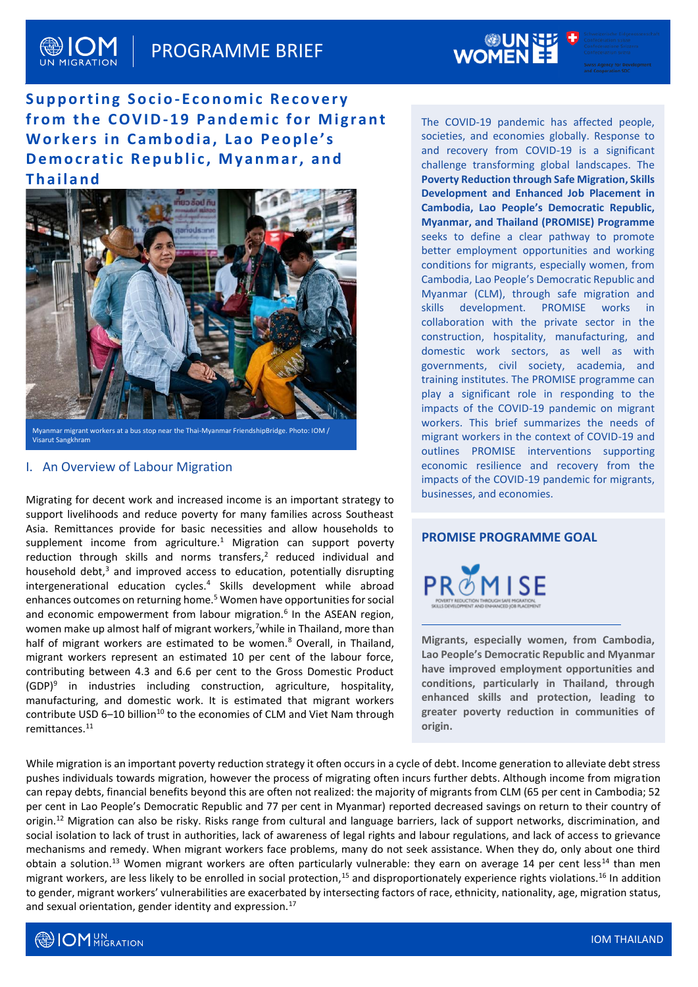# PROGRAMME BRIEF

## **Supporting Socio-Economic Recovery** from the COVID-19 Pandemic for Migrant Workers in Cambodia, Lao People's **Democratic Republic, Myanmar, and T h a i l a n d**



Visarut Sangkhram

#### I. An Overview of Labour Migration

Migrating for decent work and increased income is an important strategy to support livelihoods and reduce poverty for many families across Southeast Asia. Remittances provide for basic necessities and allow households to supplement income from agriculture.<sup>1</sup> Migration can support poverty reduction through skills and norms transfers, $<sup>2</sup>$  reduced individual and</sup> household debt, $3$  and improved access to education, potentially disrupting intergenerational education cycles.<sup>4</sup> Skills development while abroad enhances outcomes on returning home.<sup>5</sup> Women have opportunities for social and economic empowerment from labour migration.<sup>6</sup> In the ASEAN region, women make up almost half of migrant workers,<sup>7</sup>while in Thailand, more than half of migrant workers are estimated to be women.<sup>8</sup> Overall, in Thailand, migrant workers represent an estimated 10 per cent of the labour force, contributing between 4.3 and 6.6 per cent to the Gross Domestic Product (GDP)<sup>9</sup> in industries including construction, agriculture, hospitality, manufacturing, and domestic work. It is estimated that migrant workers contribute USD 6–10 billion<sup>10</sup> to the economies of CLM and Viet Nam through remittance[s.](https://www.worldbank.org/en/topic/migrationremittancesdiasporaissues/brief/migration-remittances-data) 11

The COVID-19 pandemic has affected people, societies, and economies globally. Response to and recovery from COVID-19 is a significant challenge transforming global landscapes. The **Poverty Reduction through Safe Migration, Skills Development and Enhanced Job Placement in Cambodia, Lao People's Democratic Republic, Myanmar, and Thailand (PROMISE) Programme** seeks to define a clear pathway to promote better employment opportunities and working conditions for migrants, especially women, from Cambodia, Lao People's Democratic Republic and Myanmar (CLM), through safe migration and skills development. PROMISE works in collaboration with the private sector in the construction, hospitality, manufacturing, and domestic work sectors, as well as with governments, civil society, academia, and training institutes. The PROMISE programme can play a significant role in responding to the impacts of the COVID-19 pandemic on migrant workers. This brief summarizes the needs of migrant workers in the context of COVID-19 and outlines PROMISE interventions supporting economic resilience and recovery from the impacts of the COVID-19 pandemic for migrants, businesses, and economies.

#### **PROMISE PROGRAMME GOAL**



**Migrants, especially women, from Cambodia, Lao People's Democratic Republic and Myanmar have improved employment opportunities and conditions, particularly in Thailand, through enhanced skills and protection, leading to greater poverty reduction in communities of origin.**

While migration is an important poverty reduction strategy it often occurs in a cycle of debt. Income generation to alleviate debt stress pushes individuals towards migration, however the process of migrating often incurs further debts. Although income from migration can repay debts, financial benefits beyond this are often not realized: the majority of migrants from CLM (65 per cent in Cambodia; 52 per cent in Lao People's Democratic Republic and 77 per cent in Myanmar) reported decreased savings on return to their country of origin.<sup>12</sup> Migration can also be risky. Risks range from cultural and language barriers, lack of support networks, discrimination, and social isolation to lack of trust in authorities, lack of awareness of legal rights and labour regulations, and lack of access to grievance mechanisms and remedy. When migrant workers face problems, many do not seek assistance. When they do, only about one third obtain a solution.<sup>13</sup> Women migrant workers are often particularly vulnerable: they earn on average 14 per cent less<sup>14</sup> than men migrant workers, are less likely to be enrolled in social protection,<sup>15</sup> and disproportionately experience rights violations.<sup>16</sup> In addition to gender, migrant workers' vulnerabilities are exacerbated by intersecting factors of race, ethnicity, nationality, age, migration status, and sexual orientation, gender identity and expression.<sup>17</sup>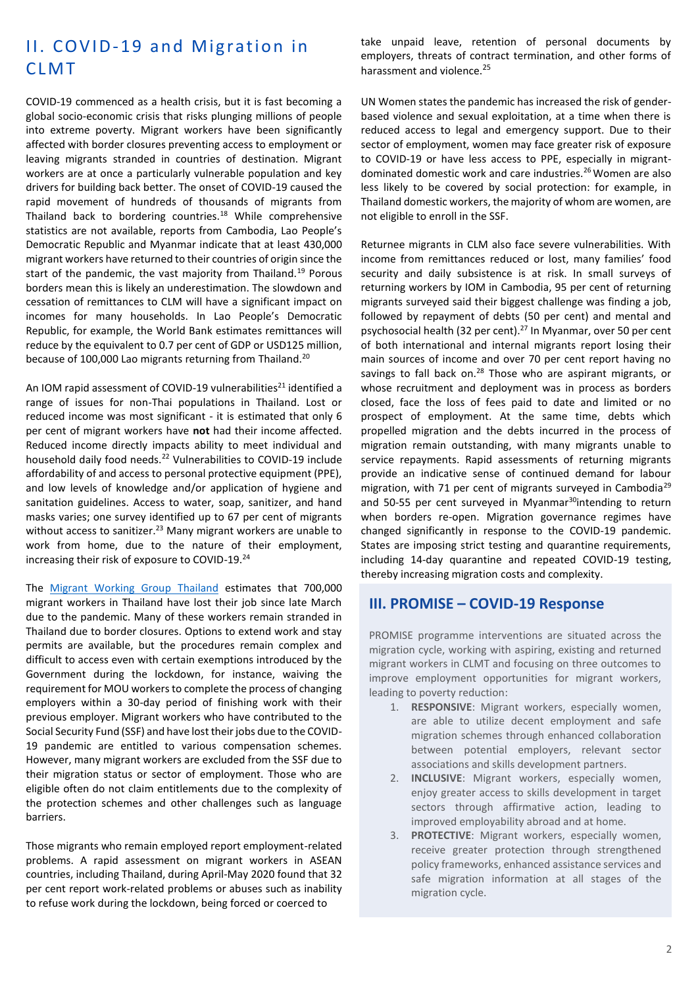# II. COVID-19 and Migration in **CLMT**

COVID-19 commenced as a health crisis, but it is fast becoming a global socio-economic crisis that risks plunging millions of people into extreme poverty. Migrant workers have been significantly affected with border closures preventing access to employment or leaving migrants stranded in countries of destination. Migrant workers are at once a particularly vulnerable population and key drivers for building back better. The onset of COVID-19 caused the rapid movement of hundreds of thousands of migrants from Thailand back to bordering countries. $18$  While comprehensive statistics are not available, reports from Cambodia, Lao People's Democratic Republic and Myanmar indicate that at least 430,000 migrant workers have returned to their countries of origin since the start of the pandemic, the vast majority from Thailand.<sup>19</sup> Porous borders mean this is likely an underestimation. The slowdown and cessation of remittances to CLM will have a significant impact on incomes for many households. In Lao People's Democratic Republic, for example, the World Bank estimates remittances will reduce by the equivalent to 0.7 per cent of GDP or USD125 million, because of 100,000 Lao migrants returning from Thailand.<sup>20</sup>

An IOM rapid assessment of COVID-19 vulnerabilities<sup>21</sup> identified a range of issues for non-Thai populations in Thailand. Lost or reduced income was most significant - it is estimated that only 6 per cent of migrant workers have **not** had their income affected. Reduced income directly impacts ability to meet individual and household daily food needs.<sup>22</sup> Vulnerabilities to COVID-19 include affordability of and access to personal protective equipment (PPE), and low levels of knowledge and/or application of hygiene and sanitation guidelines. Access to water, soap, sanitizer, and hand masks varies; one survey identified up to 67 per cent of migrants without access to sanitizer.<sup>23</sup> Many migrant workers are unable to work from home, due to the nature of their employment, increasing their risk of exposure to COVID-19.<sup>24</sup>

The [Migrant Working Group](https://www.mwgthailand.org/en) Thailand estimates that 700,000 migrant workers in Thailand have lost their job since late March due to the pandemic. Many of these workers remain stranded in Thailand due to border closures. Options to extend work and stay permits are available, but the procedures remain complex and difficult to access even with certain exemptions introduced by the Government during the lockdown, for instance, waiving the requirement for MOU workers to complete the process of changing employers within a 30-day period of finishing work with their previous employer. Migrant workers who have contributed to the Social Security Fund (SSF) and have lost their jobs due to the COVID-19 pandemic are entitled to various compensation schemes. However, many migrant workers are excluded from the SSF due to their migration status or sector of employment. Those who are eligible often do not claim entitlements due to the complexity of the protection schemes and other challenges such as language barriers.

Those migrants who remain employed report employment-related problems. A rapid assessment on migrant workers in ASEAN countries, including Thailand, during April-May 2020 found that 32 per cent report work-related problems or abuses such as inability to refuse work during the lockdown, being forced or coerced to

take unpaid leave, retention of personal documents by employers, threats of contract termination, and other forms of harassment and violence.<sup>25</sup>

UN Women states the pandemic has increased the risk of genderbased violence and sexual exploitation, at a time when there is reduced access to legal and emergency support. Due to their sector of employment, women may face greater risk of exposure to COVID-19 or have less access to PPE, especially in migrantdominated domestic work and care industries.<sup>26</sup> Women are also less likely to be covered by social protection: for example, in Thailand domestic workers, the majority of whom are women, are not eligible to enroll in the SSF.

Returnee migrants in CLM also face severe vulnerabilities. With income from remittances reduced or lost, many families' food security and daily subsistence is at risk. In small surveys of returning workers by IOM in Cambodia, 95 per cent of returning migrants surveyed said their biggest challenge was finding a job, followed by repayment of debts (50 per cent) and mental and psychosocial health (32 per cent).<sup>27</sup> In Myanmar, over 50 per cent of both international and internal migrants report losing their main sources of income and over 70 per cent report having no savings to fall back on.<sup>28</sup> Those who are aspirant migrants, or whose recruitment and deployment was in process as borders closed, face the loss of fees paid to date and limited or no prospect of employment. At the same time, debts which propelled migration and the debts incurred in the process of migration remain outstanding, with many migrants unable to service repayments. Rapid assessments of returning migrants provide an indicative sense of continued demand for labour migration, with 71 per cent of migrants surveyed in Cambodia<sup>29</sup> and 50-55 per cent surveyed in Myanmar $30$ intending to return when borders re-open. Migration governance regimes have changed significantly in response to the COVID-19 pandemic. States are imposing strict testing and quarantine requirements, including 14-day quarantine and repeated COVID-19 testing, thereby increasing migration costs and complexity.

#### **III. PROMISE – COVID-19 Response**

PROMISE programme interventions are situated across the migration cycle, working with aspiring, existing and returned migrant workers in CLMT and focusing on three outcomes to improve employment opportunities for migrant workers, leading to poverty reduction:

- 1. **RESPONSIVE**: Migrant workers, especially women, are able to utilize decent employment and safe migration schemes through enhanced collaboration between potential employers, relevant sector associations and skills development partners.
- 2. **INCLUSIVE**: Migrant workers, especially women, enjoy greater access to skills development in target sectors through affirmative action, leading to improved employability abroad and at home.
- 3. **PROTECTIVE**: Migrant workers, especially women, receive greater protection through strengthened policy frameworks, enhanced assistance services and safe migration information at all stages of the migration cycle.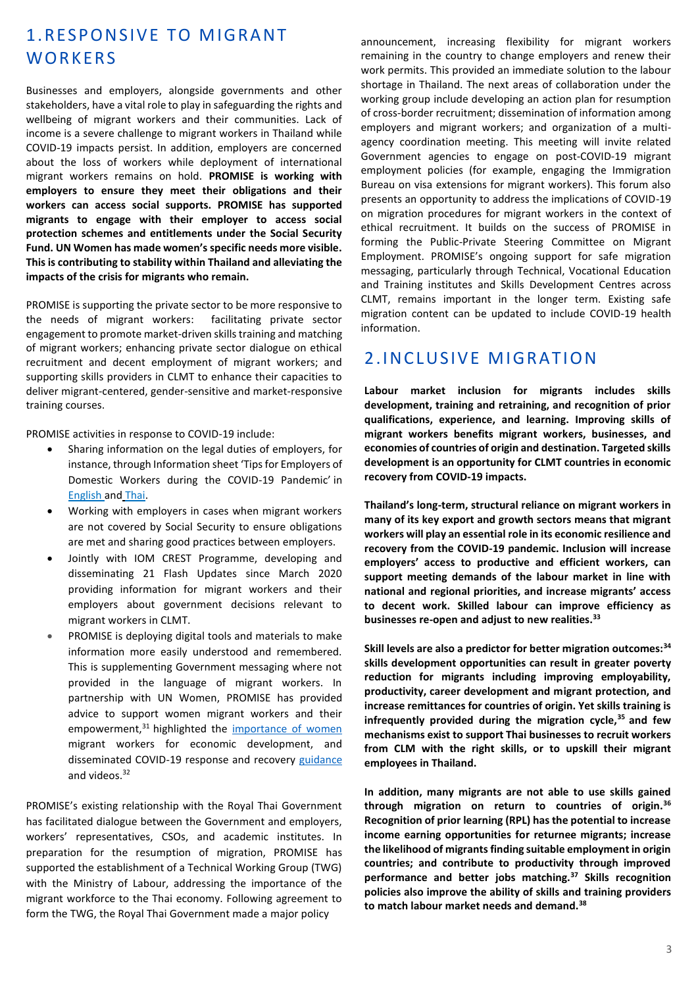## 1.RESPONSIVE TO MIGRANT **WORKERS**

Businesses and employers, alongside governments and other stakeholders, have a vital role to play in safeguarding the rights and wellbeing of migrant workers and their communities. Lack of income is a severe challenge to migrant workers in Thailand while COVID-19 impacts persist. In addition, employers are concerned about the loss of workers while deployment of international migrant workers remains on hold. **PROMISE is working with employers to ensure they meet their obligations and their workers can access social supports. PROMISE has supported migrants to engage with their employer to access social protection schemes and entitlements under the Social Security Fund. UN Women has made women's specific needs more visible. This is contributing to stability within Thailand and alleviating the impacts of the crisis for migrants who remain.**

PROMISE is supporting the private sector to be more responsive to the needs of migrant workers: facilitating private sector engagement to promote market-driven skills training and matching of migrant workers; enhancing private sector dialogue on ethical recruitment and decent employment of migrant workers; and supporting skills providers in CLMT to enhance their capacities to deliver migrant-centered, gender-sensitive and market-responsive training courses.

PROMISE activities in response to COVID-19 include:

- Sharing information on the legal duties of employers, for instance, through Information sheet 'Tips for Employers of Domestic Workers during the COVID-19 Pandemic' in [English](https://thailand.iom.int/sites/default/files/Infosheets/Info%20Sheet-%20Employers%20of%20domestic%20workers_ENG.pdf) and [Thai.](https://thailand.iom.int/sites/default/files/Infosheets/Info%20Sheet-Employer%20of%20Domestic%20Workers-THAI.pdf)
- Working with employers in cases when migrant workers are not covered by Social Security to ensure obligations are met and sharing good practices between employers.
- Jointly with IOM CREST Programme, developing and disseminating 21 Flash Updates since March 2020 providing information for migrant workers and their employers about government decisions relevant to migrant workers in CLMT.
- PROMISE is deploying digital tools and materials to make information more easily understood and remembered. This is supplementing Government messaging where not provided in the language of migrant workers. In partnership with UN Women, PROMISE has provided advice to support women migrant workers and their empowerment,<sup>31</sup> highlighted the [importance of women](https://rbhr2020.heysummit.com/talks/the-role-of-business-in-promoting-the-rights-of-women-migrant-workers/) migrant workers for economic development, and disseminated COVID-19 response and recovery [guidance](https://asiapacific.unwomen.org/en/digital-library/publications/2020/04/guidance-for-action-addressing-the-emerging-impacts-of-the-covid-19-pandemicnder-responsive-recovery) and videos.<sup>32</sup>

PROMISE's existing relationship with the Royal Thai Government has facilitated dialogue between the Government and employers, workers' representatives, CSOs, and academic institutes. In preparation for the resumption of migration, PROMISE has supported the establishment of a Technical Working Group (TWG) with the Ministry of Labour, addressing the importance of the migrant workforce to the Thai economy. Following agreement to form the TWG, the Royal Thai Government made a major policy

announcement, increasing flexibility for migrant workers remaining in the country to change employers and renew their work permits. This provided an immediate solution to the labour shortage in Thailand. The next areas of collaboration under the working group include developing an action plan for resumption of cross-border recruitment; dissemination of information among employers and migrant workers; and organization of a multiagency coordination meeting. This meeting will invite related Government agencies to engage on post-COVID-19 migrant employment policies (for example, engaging the Immigration Bureau on visa extensions for migrant workers). This forum also presents an opportunity to address the implications of COVID-19 on migration procedures for migrant workers in the context of ethical recruitment. It builds on the success of PROMISE in forming the Public-Private Steering Committee on Migrant Employment. PROMISE's ongoing support for safe migration messaging, particularly through Technical, Vocational Education and Training institutes and Skills Development Centres across CLMT, remains important in the longer term. Existing safe migration content can be updated to include COVID-19 health information.

## 2. INCLUSIVE MIGRATION

**Labour market inclusion for migrants includes skills development, training and retraining, and recognition of prior qualifications, experience, and learning. Improving skills of migrant workers benefits migrant workers, businesses, and economies of countries of origin and destination. Targeted skills development is an opportunity for CLMT countries in economic recovery from COVID-19 impacts.** 

**Thailand's long-term, structural reliance on migrant workers in many of its key export and growth sectors means that migrant workers will play an essential role in its economic resilience and recovery from the COVID-19 pandemic. Inclusion will increase employers' access to productive and efficient workers, can support meeting demands of the labour market in line with national and regional priorities, and increase migrants' access to decent work. Skilled labour can improve efficiency as businesses re-open and adjust to new realities.<sup>33</sup>**

**Skill levels are also a predictor for better migration outcomes:<sup>34</sup> skills development opportunities can result in greater poverty reduction for migrants including improving employability, productivity, career development and migrant protection, and increase remittances for countries of origin. Yet skills training is infrequently provided during the migration cycle,<sup>35</sup>and few mechanisms exist to support Thai businesses to recruit workers from CLM with the right skills, or to upskill their migrant employees in Thailand.** 

**In addition, many migrants are not able to use skills gained through migration on return to countries of origin.<sup>36</sup> Recognition of prior learning (RPL) has the potential to increase income earning opportunities for returnee migrants; increase the likelihood of migrants finding suitable employment in origin countries; and contribute to productivity through improved performance and better jobs matching.<sup>37</sup> Skills recognition policies also improve the ability of skills and training providers to match labour market needs and demand.38**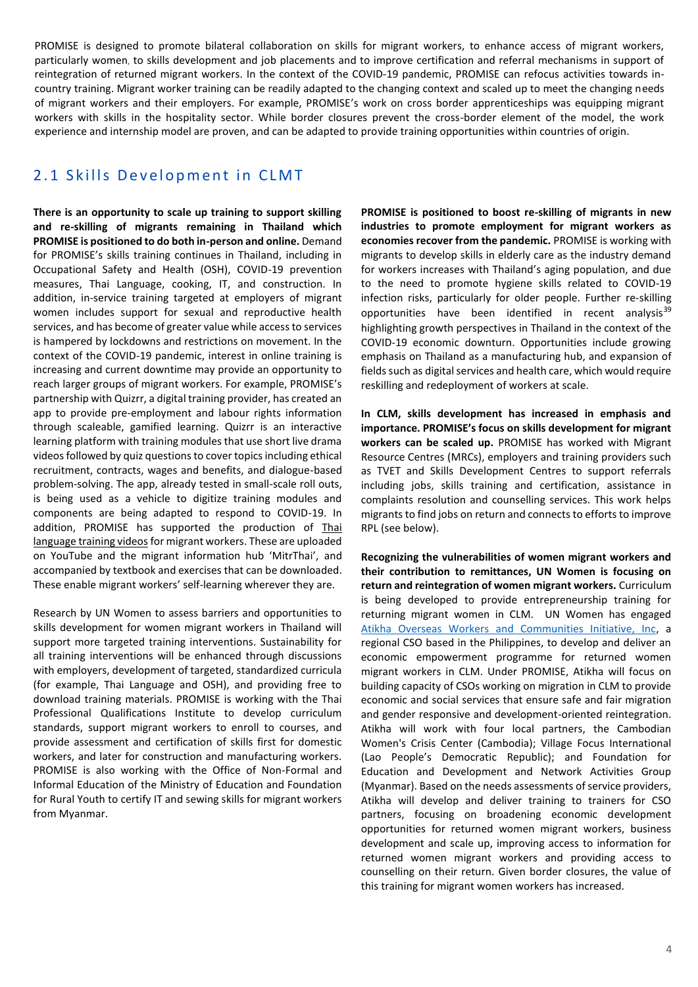PROMISE is designed to promote bilateral collaboration on skills for migrant workers, to enhance access of migrant workers, particularly women, to skills development and job placements and to improve certification and referral mechanisms in support of reintegration of returned migrant workers. In the context of the COVID-19 pandemic, PROMISE can refocus activities towards incountry training. Migrant worker training can be readily adapted to the changing context and scaled up to meet the changing needs of migrant workers and their employers. For example, PROMISE's work on cross border apprenticeships was equipping migrant workers with skills in the hospitality sector. While border closures prevent the cross-border element of the model, the work experience and internship model are proven, and can be adapted to provide training opportunities within countries of origin.

#### 2.1 Skills Development in CLMT

**There is an opportunity to scale up training to support skilling and re-skilling of migrants remaining in Thailand which PROMISE is positioned to do both in-person and online.** Demand for PROMISE's skills training continues in Thailand, including in Occupational Safety and Health (OSH), COVID-19 prevention measures, Thai Language, cooking, IT, and construction. In addition, in-service training targeted at employers of migrant women includes support for sexual and reproductive health services, and has become of greater value while access to services is hampered by lockdowns and restrictions on movement. In the context of the COVID-19 pandemic, interest in online training is increasing and current downtime may provide an opportunity to reach larger groups of migrant workers. For example, PROMISE's partnership with Quizrr, a digital training provider, has created an app to provide pre-employment and labour rights information through scaleable, gamified learning. Quizrr is an interactive learning platform with training modules that use short live drama videos followed by quiz questions to cover topics including ethical recruitment, contracts, wages and benefits, and dialogue-based problem-solving. The app, already tested in small-scale roll outs, is being used as a vehicle to digitize training modules and components are being adapted to respond to COVID-19. In addition, PROMISE has supported the production of Thai [language training videos](https://mitrthai.com/services_category/thai-language-training-through-video-clips/) for migrant workers. These are uploaded on YouTube and the migrant information hub 'MitrThai', and accompanied by textbook and exercises that can be downloaded. These enable migrant workers' self-learning wherever they are.

Research by UN Women to assess barriers and opportunities to skills development for women migrant workers in Thailand will support more targeted training interventions. Sustainability for all training interventions will be enhanced through discussions with employers, development of targeted, standardized curricula (for example, Thai Language and OSH), and providing free to download training materials. PROMISE is working with the Thai Professional Qualifications Institute to develop curriculum standards, support migrant workers to enroll to courses, and provide assessment and certification of skills first for domestic workers, and later for construction and manufacturing workers. PROMISE is also working with the Office of Non-Formal and Informal Education of the Ministry of Education and Foundation for Rural Youth to certify IT and sewing skills for migrant workers from Myanmar.

**PROMISE is positioned to boost re-skilling of migrants in new industries to promote employment for migrant workers as economies recover from the pandemic.** PROMISE is working with migrants to develop skills in elderly care as the industry demand for workers increases with Thailand's aging population, and due to the need to promote hygiene skills related to COVID-19 infection risks, particularly for older people. Further re-skilling opportunities have been identified in recent analysis $39$ highlighting growth perspectives in Thailand in the context of the COVID-19 economic downturn. Opportunities include growing emphasis on Thailand as a manufacturing hub, and expansion of fields such as digital services and health care, which would require reskilling and redeployment of workers at scale.

**In CLM, skills development has increased in emphasis and importance. PROMISE's focus on skills development for migrant workers can be scaled up.** PROMISE has worked with Migrant Resource Centres (MRCs), employers and training providers such as TVET and Skills Development Centres to support referrals including jobs, skills training and certification, assistance in complaints resolution and counselling services. This work helps migrants to find jobs on return and connects to efforts to improve RPL (see below).

**Recognizing the vulnerabilities of women migrant workers and their contribution to remittances, UN Women is focusing on return and reintegration of women migrant workers.** Curriculum is being developed to provide entrepreneurship training for returning migrant women in CLM. UN Women has engaged [Atikha Overseas Workers and Communities Initiative, Inc,](http://www.atikha.org/) a regional CSO based in the Philippines, to develop and deliver an economic empowerment programme for returned women migrant workers in CLM. Under PROMISE, Atikha will focus on building capacity of CSOs working on migration in CLM to provide economic and social services that ensure safe and fair migration and gender responsive and development-oriented reintegration. Atikha will work with four local partners, the Cambodian Women's Crisis Center (Cambodia); Village Focus International (Lao People's Democratic Republic); and Foundation for Education and Development and Network Activities Group (Myanmar). Based on the needs assessments of service providers, Atikha will develop and deliver training to trainers for CSO partners, focusing on broadening economic development opportunities for returned women migrant workers, business development and scale up, improving access to information for returned women migrant workers and providing access to counselling on their return. Given border closures, the value of this training for migrant women workers has increased.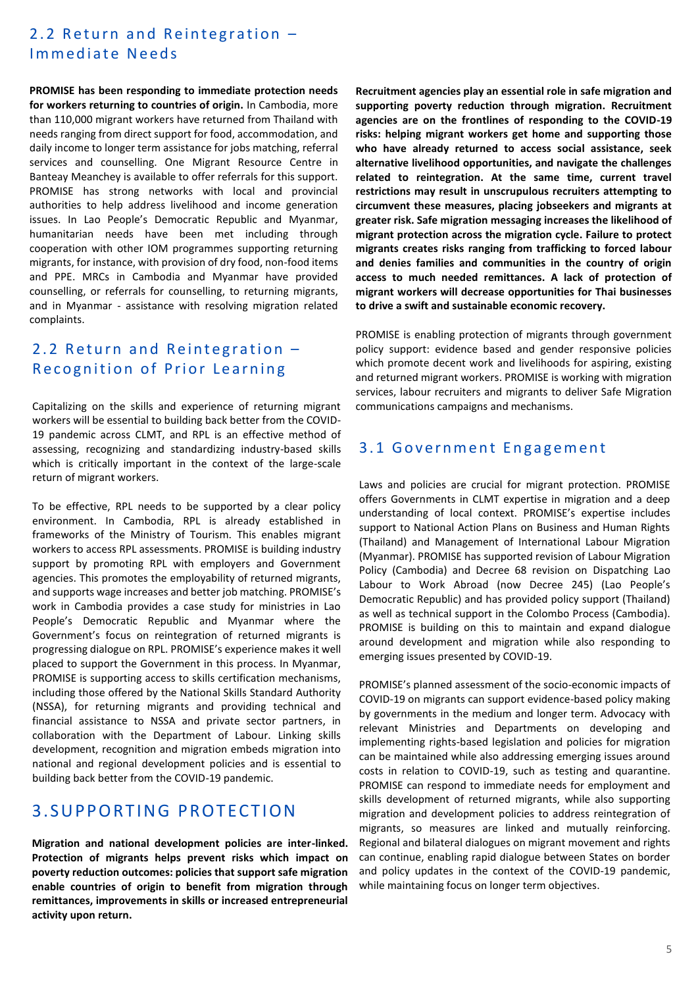## 2.2 Return and Reintegration -Immediate Needs

**PROMISE has been responding to immediate protection needs for workers returning to countries of origin.** In Cambodia, more than 110,000 migrant workers have returned from Thailand with needs ranging from direct support for food, accommodation, and daily income to longer term assistance for jobs matching, referral services and counselling. One Migrant Resource Centre in Banteay Meanchey is available to offer referrals for this support. PROMISE has strong networks with local and provincial authorities to help address livelihood and income generation issues. In Lao People's Democratic Republic and Myanmar, humanitarian needs have been met including through cooperation with other IOM programmes supporting returning migrants, for instance, with provision of dry food, non-food items and PPE. MRCs in Cambodia and Myanmar have provided counselling, or referrals for counselling, to returning migrants, and in Myanmar - assistance with resolving migration related complaints.

## 2.2 Return and Reintegration  $-$ Recognition of Prior Learning

Capitalizing on the skills and experience of returning migrant workers will be essential to building back better from the COVID-19 pandemic across CLMT, and RPL is an effective method of assessing, recognizing and standardizing industry-based skills which is critically important in the context of the large-scale return of migrant workers.

To be effective, RPL needs to be supported by a clear policy environment. In Cambodia, RPL is already established in frameworks of the Ministry of Tourism. This enables migrant workers to access RPL assessments. PROMISE is building industry support by promoting RPL with employers and Government agencies. This promotes the employability of returned migrants, and supports wage increases and better job matching. PROMISE's work in Cambodia provides a case study for ministries in Lao People's Democratic Republic and Myanmar where the Government's focus on reintegration of returned migrants is progressing dialogue on RPL. PROMISE's experience makes it well placed to support the Government in this process. In Myanmar, PROMISE is supporting access to skills certification mechanisms, including those offered by the National Skills Standard Authority (NSSA), for returning migrants and providing technical and financial assistance to NSSA and private sector partners, in collaboration with the Department of Labour. Linking skills development, recognition and migration embeds migration into national and regional development policies and is essential to building back better from the COVID-19 pandemic.

## 3. SUPPORTING PROTECTION

**Migration and national development policies are inter-linked. Protection of migrants helps prevent risks which impact on poverty reduction outcomes: policies that support safe migration enable countries of origin to benefit from migration through remittances, improvements in skills or increased entrepreneurial activity upon return.**

**Recruitment agencies play an essential role in safe migration and supporting poverty reduction through migration. Recruitment agencies are on the frontlines of responding to the COVID-19 risks: helping migrant workers get home and supporting those who have already returned to access social assistance, seek alternative livelihood opportunities, and navigate the challenges related to reintegration. At the same time, current travel restrictions may result in unscrupulous recruiters attempting to circumvent these measures, placing jobseekers and migrants at greater risk. Safe migration messaging increases the likelihood of migrant protection across the migration cycle. Failure to protect migrants creates risks ranging from trafficking to forced labour and denies families and communities in the country of origin access to much needed remittances. A lack of protection of migrant workers will decrease opportunities for Thai businesses to drive a swift and sustainable economic recovery.**

PROMISE is enabling protection of migrants through government policy support: evidence based and gender responsive policies which promote decent work and livelihoods for aspiring, existing and returned migrant workers. PROMISE is working with migration services, labour recruiters and migrants to deliver Safe Migration communications campaigns and mechanisms.

#### 3.1 Government Engagement

Laws and policies are crucial for migrant protection. PROMISE offers Governments in CLMT expertise in migration and a deep understanding of local context. PROMISE's expertise includes support to National Action Plans on Business and Human Rights (Thailand) and Management of International Labour Migration (Myanmar). PROMISE has supported revision of Labour Migration Policy (Cambodia) and Decree 68 revision on Dispatching Lao Labour to Work Abroad (now Decree 245) (Lao People's Democratic Republic) and has provided policy support (Thailand) as well as technical support in the Colombo Process (Cambodia). PROMISE is building on this to maintain and expand dialogue around development and migration while also responding to emerging issues presented by COVID-19.

PROMISE's planned assessment of the socio-economic impacts of COVID-19 on migrants can support evidence-based policy making by governments in the medium and longer term. Advocacy with relevant Ministries and Departments on developing and implementing rights-based legislation and policies for migration can be maintained while also addressing emerging issues around costs in relation to COVID-19, such as testing and quarantine. PROMISE can respond to immediate needs for employment and skills development of returned migrants, while also supporting migration and development policies to address reintegration of migrants, so measures are linked and mutually reinforcing. Regional and bilateral dialogues on migrant movement and rights can continue, enabling rapid dialogue between States on border and policy updates in the context of the COVID-19 pandemic, while maintaining focus on longer term objectives.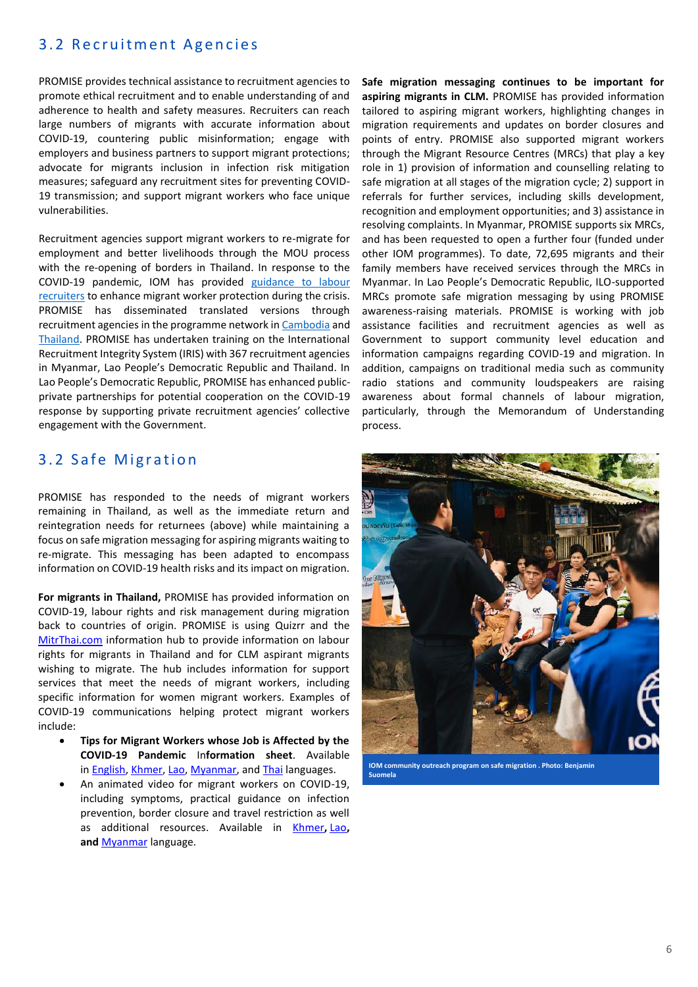#### 3.2 Recruitment Agencies

PROMISE provides technical assistance to recruitment agencies to promote ethical recruitment and to enable understanding of and adherence to health and safety measures. Recruiters can reach large numbers of migrants with accurate information about COVID-19, countering public misinformation; engage with employers and business partners to support migrant protections; advocate for migrants inclusion in infection risk mitigation measures; safeguard any recruitment sites for preventing COVID-19 transmission; and support migrant workers who face unique vulnerabilities.

Recruitment agencies support migrant workers to re-migrate for employment and better livelihoods through the MOU process with the re-opening of borders in Thailand. In response to the COVID-19 pandemic, IOM has provided [guidance to labour](https://iris.iom.int/covid-19-crisis-response)  [recruiters](https://iris.iom.int/covid-19-crisis-response) to enhance migrant worker protection during the crisis. PROMISE has disseminated translated versions through recruitment agencies in the programme network i[n Cambodia](https://thailand.iom.int/sites/default/files/Infosheets/COVID-19_Recruiter%20Guidance_Khmer.pdf) and [Thailand.](https://thailand.iom.int/sites/default/files/Infosheets/COVID-19_Recruiter%20Guidance_24April20_TH.pdf) PROMISE has undertaken training on the International Recruitment Integrity System (IRIS) with 367 recruitment agencies in Myanmar, Lao People's Democratic Republic and Thailand. In Lao People's Democratic Republic, PROMISE has enhanced publicprivate partnerships for potential cooperation on the COVID-19 response by supporting private recruitment agencies' collective engagement with the Government.

#### 3.2 Safe Migration

PROMISE has responded to the needs of migrant workers remaining in Thailand, as well as the immediate return and reintegration needs for returnees (above) while maintaining a focus on safe migration messaging for aspiring migrants waiting to re-migrate. This messaging has been adapted to encompass information on COVID-19 health risks and its impact on migration.

**For migrants in Thailand,** PROMISE has provided information on COVID-19, labour rights and risk management during migration back to countries of origin. PROMISE is using Quizrr and the [MitrThai.com](https://mitrthai.com/) information hub to provide information on labour rights for migrants in Thailand and for CLM aspirant migrants wishing to migrate. The hub includes information for support services that meet the needs of migrant workers, including specific information for women migrant workers. Examples of COVID-19 communications helping protect migrant workers include:

- **Tips for Migrant Workers whose Job is Affected by the COVID-19 Pandemic** In**formation sheet**. Available in [English,](https://thailand.iom.int/sites/default/files/COVID19Response/English-Info%20Sheet-Tips%20for%20Migrant%20Workers%20Whose%20Job%20is%20Affected%20by%20the%20COVID-19%20Pandemic.pdf) [Khmer,](https://thailand.iom.int/sites/default/files/COVID19Response/Khmer-Info%20Sheet-Tips%20for%20Migrant%20Workers%20Whose%20Job%20is%20Affected%20by%20the%20COVID-19%20Pandemic.pdf) [Lao,](https://thailand.iom.int/sites/default/files/COVID19Response/Info%20Sheet-Tips%20for%20Migrant%20Workers%20Whose%20Job%20is%20Affected%20by%20the%20COVID-19%20Pandemic%20%28Laotian%29.pdf) [Myanmar,](https://thailand.iom.int/sites/default/files/COVID19Response/Myanmar-Info%20Sheet-Migrant%20workers%20whose%20job%20is%20affected%20by%20COVID-19.pdf) and [Thai](https://thailand.iom.int/sites/default/files/COVID19Response/Info%20Sheet%20-Migrant%20Workers%20whose%20job%20is%20affected%20by%20the%20COVID-19%20pandemic%20%28THAI%29.pdf) languages.
- An animated video for migrant workers on COVID-19, including symptoms, practical guidance on infection prevention, border closure and travel restriction as well as additional resources. Available in [Khmer](https://www.youtube.com/watch?v=MmkhFryqqu0)**,** [Lao](https://www.youtube.com/watch?v=32OB_HIswUw)**, and** [Myanmar](https://www.youtube.com/watch?v=rpfzzxR6qHc) language.

**Safe migration messaging continues to be important for aspiring migrants in CLM.** PROMISE has provided information tailored to aspiring migrant workers, highlighting changes in migration requirements and updates on border closures and points of entry. PROMISE also supported migrant workers through the Migrant Resource Centres (MRCs) that play a key role in 1) provision of information and counselling relating to safe migration at all stages of the migration cycle; 2) support in referrals for further services, including skills development, recognition and employment opportunities; and 3) assistance in resolving complaints. In Myanmar, PROMISE supports six MRCs, and has been requested to open a further four (funded under other IOM programmes). To date, 72,695 migrants and their family members have received services through the MRCs in Myanmar. In Lao People's Democratic Republic, ILO-supported MRCs promote safe migration messaging by using PROMISE awareness-raising materials. PROMISE is working with job assistance facilities and recruitment agencies as well as Government to support community level education and information campaigns regarding COVID-19 and migration. In addition, campaigns on traditional media such as community radio stations and community loudspeakers are raising awareness about formal channels of labour migration, particularly, through the Memorandum of Understanding process.



**IOM community outreach program on safe migration . Photo: Benjamin Suomela**